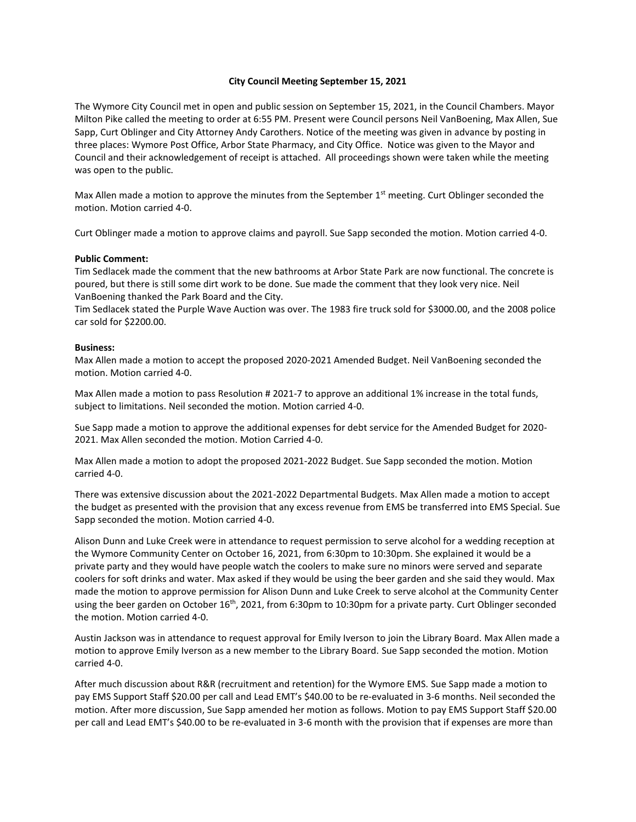## **City Council Meeting September 15, 2021**

The Wymore City Council met in open and public session on September 15, 2021, in the Council Chambers. Mayor Milton Pike called the meeting to order at 6:55 PM. Present were Council persons Neil VanBoening, Max Allen, Sue Sapp, Curt Oblinger and City Attorney Andy Carothers. Notice of the meeting was given in advance by posting in three places: Wymore Post Office, Arbor State Pharmacy, and City Office. Notice was given to the Mayor and Council and their acknowledgement of receipt is attached. All proceedings shown were taken while the meeting was open to the public.

Max Allen made a motion to approve the minutes from the September  $1<sup>st</sup>$  meeting. Curt Oblinger seconded the motion. Motion carried 4-0.

Curt Oblinger made a motion to approve claims and payroll. Sue Sapp seconded the motion. Motion carried 4-0.

## **Public Comment:**

Tim Sedlacek made the comment that the new bathrooms at Arbor State Park are now functional. The concrete is poured, but there is still some dirt work to be done. Sue made the comment that they look very nice. Neil VanBoening thanked the Park Board and the City.

Tim Sedlacek stated the Purple Wave Auction was over. The 1983 fire truck sold for \$3000.00, and the 2008 police car sold for \$2200.00.

## **Business:**

Max Allen made a motion to accept the proposed 2020-2021 Amended Budget. Neil VanBoening seconded the motion. Motion carried 4-0.

Max Allen made a motion to pass Resolution # 2021-7 to approve an additional 1% increase in the total funds, subject to limitations. Neil seconded the motion. Motion carried 4-0.

Sue Sapp made a motion to approve the additional expenses for debt service for the Amended Budget for 2020- 2021. Max Allen seconded the motion. Motion Carried 4-0.

Max Allen made a motion to adopt the proposed 2021-2022 Budget. Sue Sapp seconded the motion. Motion carried 4-0.

There was extensive discussion about the 2021-2022 Departmental Budgets. Max Allen made a motion to accept the budget as presented with the provision that any excess revenue from EMS be transferred into EMS Special. Sue Sapp seconded the motion. Motion carried 4-0.

Alison Dunn and Luke Creek were in attendance to request permission to serve alcohol for a wedding reception at the Wymore Community Center on October 16, 2021, from 6:30pm to 10:30pm. She explained it would be a private party and they would have people watch the coolers to make sure no minors were served and separate coolers for soft drinks and water. Max asked if they would be using the beer garden and she said they would. Max made the motion to approve permission for Alison Dunn and Luke Creek to serve alcohol at the Community Center using the beer garden on October 16<sup>th</sup>, 2021, from 6:30pm to 10:30pm for a private party. Curt Oblinger seconded the motion. Motion carried 4-0.

Austin Jackson was in attendance to request approval for Emily Iverson to join the Library Board. Max Allen made a motion to approve Emily Iverson as a new member to the Library Board. Sue Sapp seconded the motion. Motion carried 4-0.

After much discussion about R&R (recruitment and retention) for the Wymore EMS. Sue Sapp made a motion to pay EMS Support Staff \$20.00 per call and Lead EMT's \$40.00 to be re-evaluated in 3-6 months. Neil seconded the motion. After more discussion, Sue Sapp amended her motion as follows. Motion to pay EMS Support Staff \$20.00 per call and Lead EMT's \$40.00 to be re-evaluated in 3-6 month with the provision that if expenses are more than